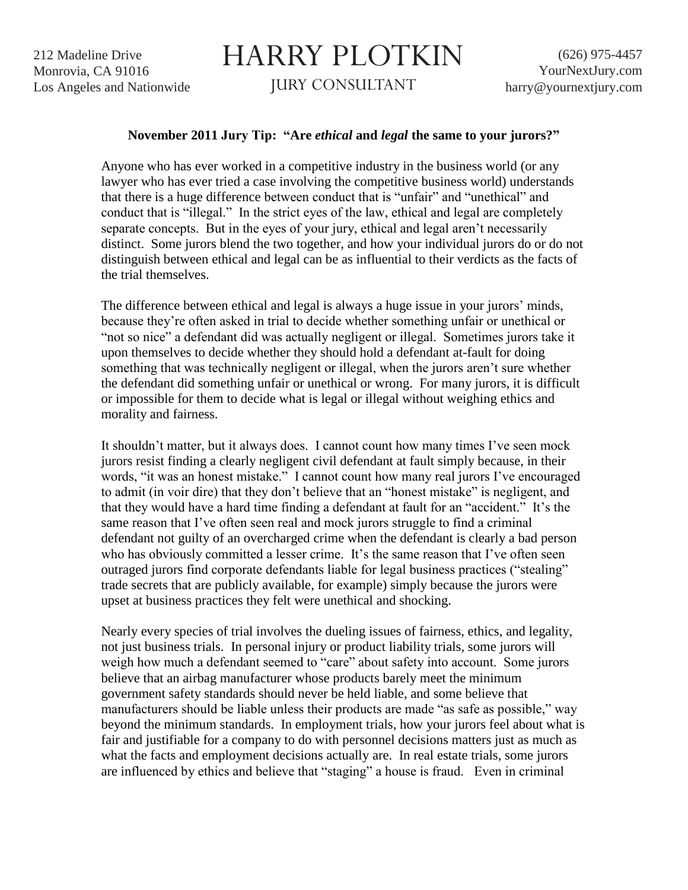## HARRY PLOTKIN

JURY CONSULTANT

## **November 2011 Jury Tip: "Are** *ethical* **and** *legal* **the same to your jurors?"**

Anyone who has ever worked in a competitive industry in the business world (or any lawyer who has ever tried a case involving the competitive business world) understands that there is a huge difference between conduct that is "unfair" and "unethical" and conduct that is "illegal." In the strict eyes of the law, ethical and legal are completely separate concepts. But in the eyes of your jury, ethical and legal aren't necessarily distinct. Some jurors blend the two together, and how your individual jurors do or do not distinguish between ethical and legal can be as influential to their verdicts as the facts of the trial themselves.

The difference between ethical and legal is always a huge issue in your jurors' minds, because they're often asked in trial to decide whether something unfair or unethical or "not so nice" a defendant did was actually negligent or illegal. Sometimes jurors take it upon themselves to decide whether they should hold a defendant at-fault for doing something that was technically negligent or illegal, when the jurors aren't sure whether the defendant did something unfair or unethical or wrong. For many jurors, it is difficult or impossible for them to decide what is legal or illegal without weighing ethics and morality and fairness.

It shouldn't matter, but it always does. I cannot count how many times I've seen mock jurors resist finding a clearly negligent civil defendant at fault simply because, in their words, "it was an honest mistake." I cannot count how many real jurors I've encouraged to admit (in voir dire) that they don't believe that an "honest mistake" is negligent, and that they would have a hard time finding a defendant at fault for an "accident." It's the same reason that I've often seen real and mock jurors struggle to find a criminal defendant not guilty of an overcharged crime when the defendant is clearly a bad person who has obviously committed a lesser crime. It's the same reason that I've often seen outraged jurors find corporate defendants liable for legal business practices ("stealing" trade secrets that are publicly available, for example) simply because the jurors were upset at business practices they felt were unethical and shocking.

Nearly every species of trial involves the dueling issues of fairness, ethics, and legality, not just business trials. In personal injury or product liability trials, some jurors will weigh how much a defendant seemed to "care" about safety into account. Some jurors believe that an airbag manufacturer whose products barely meet the minimum government safety standards should never be held liable, and some believe that manufacturers should be liable unless their products are made "as safe as possible," way beyond the minimum standards. In employment trials, how your jurors feel about what is fair and justifiable for a company to do with personnel decisions matters just as much as what the facts and employment decisions actually are. In real estate trials, some jurors are influenced by ethics and believe that "staging" a house is fraud. Even in criminal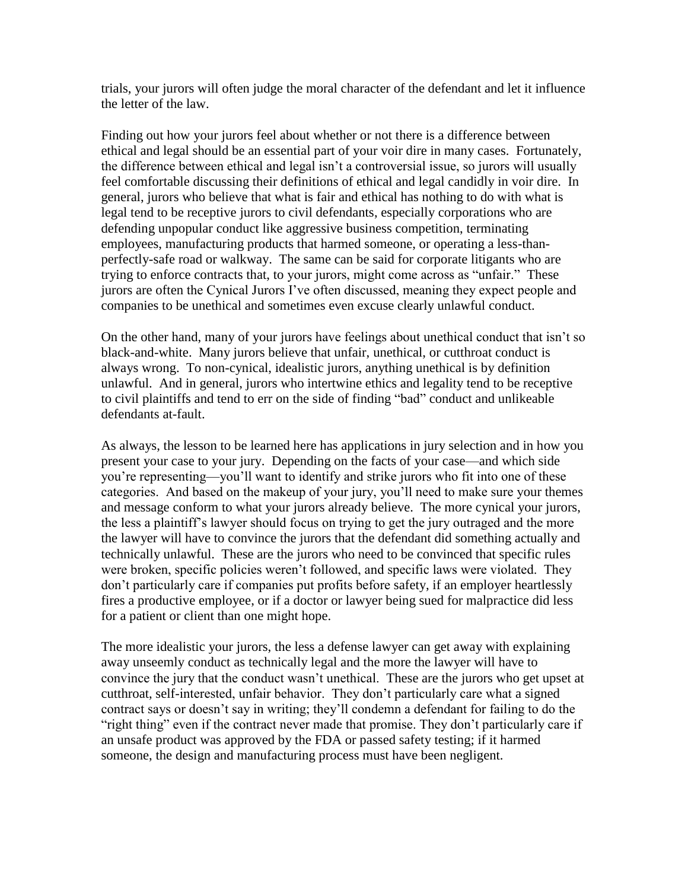trials, your jurors will often judge the moral character of the defendant and let it influence the letter of the law.

Finding out how your jurors feel about whether or not there is a difference between ethical and legal should be an essential part of your voir dire in many cases. Fortunately, the difference between ethical and legal isn't a controversial issue, so jurors will usually feel comfortable discussing their definitions of ethical and legal candidly in voir dire. In general, jurors who believe that what is fair and ethical has nothing to do with what is legal tend to be receptive jurors to civil defendants, especially corporations who are defending unpopular conduct like aggressive business competition, terminating employees, manufacturing products that harmed someone, or operating a less-thanperfectly-safe road or walkway. The same can be said for corporate litigants who are trying to enforce contracts that, to your jurors, might come across as "unfair." These jurors are often the Cynical Jurors I've often discussed, meaning they expect people and companies to be unethical and sometimes even excuse clearly unlawful conduct.

On the other hand, many of your jurors have feelings about unethical conduct that isn't so black-and-white. Many jurors believe that unfair, unethical, or cutthroat conduct is always wrong. To non-cynical, idealistic jurors, anything unethical is by definition unlawful. And in general, jurors who intertwine ethics and legality tend to be receptive to civil plaintiffs and tend to err on the side of finding "bad" conduct and unlikeable defendants at-fault.

As always, the lesson to be learned here has applications in jury selection and in how you present your case to your jury. Depending on the facts of your case—and which side you're representing—you'll want to identify and strike jurors who fit into one of these categories. And based on the makeup of your jury, you'll need to make sure your themes and message conform to what your jurors already believe. The more cynical your jurors, the less a plaintiff's lawyer should focus on trying to get the jury outraged and the more the lawyer will have to convince the jurors that the defendant did something actually and technically unlawful. These are the jurors who need to be convinced that specific rules were broken, specific policies weren't followed, and specific laws were violated. They don't particularly care if companies put profits before safety, if an employer heartlessly fires a productive employee, or if a doctor or lawyer being sued for malpractice did less for a patient or client than one might hope.

The more idealistic your jurors, the less a defense lawyer can get away with explaining away unseemly conduct as technically legal and the more the lawyer will have to convince the jury that the conduct wasn't unethical. These are the jurors who get upset at cutthroat, self-interested, unfair behavior. They don't particularly care what a signed contract says or doesn't say in writing; they'll condemn a defendant for failing to do the "right thing" even if the contract never made that promise. They don't particularly care if an unsafe product was approved by the FDA or passed safety testing; if it harmed someone, the design and manufacturing process must have been negligent.